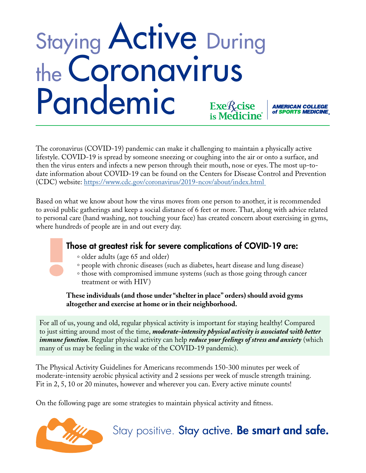## Staying Active During the Coronavirus Pandemic Exe<sup>f</sup>/cise<br>is Medicine **AMERICAN COLLEGE<br>of SPORTS MEDICINE**

The coronavirus (COVID-19) pandemic can make it challenging to maintain a physically active lifestyle. COVID-19 is spread by someone sneezing or coughing into the air or onto a surface, and then the virus enters and infects a new person through their mouth, nose or eyes. The most up-todate information about COVID-19 can be found on the Centers for Disease Control and Prevention (CDC) website: https://www.cdc.gov/coronavirus/2019-ncov/about/index.html

Based on what we know about how the virus moves from one person to another, it is recommended to avoid public gatherings and keep a social distance of 6 feet or more. That, along with advice related to personal care (hand washing, not touching your face) has created concern about exercising in gyms, where hundreds of people are in and out every day.

## Those at greatest risk for severe complications of COVID-19 are:

- ° older adults (age 65 and older)
- ° people with chronic diseases (such as diabetes, heart disease and lung disease)
- ° those with compromised immune systems (such as those going through cancer treatment or with HIV)

**These individuals (and those under "shelter in place" orders) should avoid gyms altogether and exercise at home or in their neighborhood.** 

For all of us, young and old, regular physical activity is important for staying healthy! Compared to just sitting around most of the time, *moderate-intensity physical activity is associated with better immune function*. Regular physical activity can help *reduce your feelings of stress and anxiety* (which many of us may be feeling in the wake of the COVID-19 pandemic).

The Physical Activity Guidelines for Americans recommends 150-300 minutes per week of moderate-intensity aerobic physical activity and 2 sessions per week of muscle strength training. Fit in 2, 5, 10 or 20 minutes, however and wherever you can. Every active minute counts!

On the following page are some strategies to maintain physical activity and fitness.



Stay positive. Stay active. Be smart and safe.